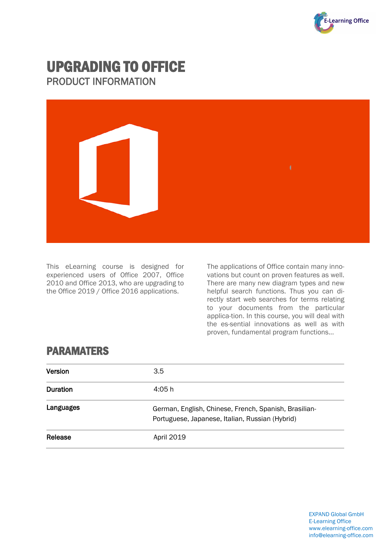

# UPGRADING TO OFFICE PRODUCT INFORMATION



This eLearning course is designed for experienced users of Office 2007, Office 2010 and Office 2013, who are upgrading to the Office 2019 / Office 2016 applications.

The applications of Office contain many innovations but count on proven features as well. There are many new diagram types and new helpful search functions. Thus you can directly start web searches for terms relating to your documents from the particular applica-tion. In this course, you will deal with the es-sential innovations as well as with proven, fundamental program functions...

## PARAMATERS

| Version         | 3.5                                                                                                      |
|-----------------|----------------------------------------------------------------------------------------------------------|
| <b>Duration</b> | 4:05 h                                                                                                   |
| Languages       | German, English, Chinese, French, Spanish, Brasilian-<br>Portuguese, Japanese, Italian, Russian (Hybrid) |
| Release         | April 2019                                                                                               |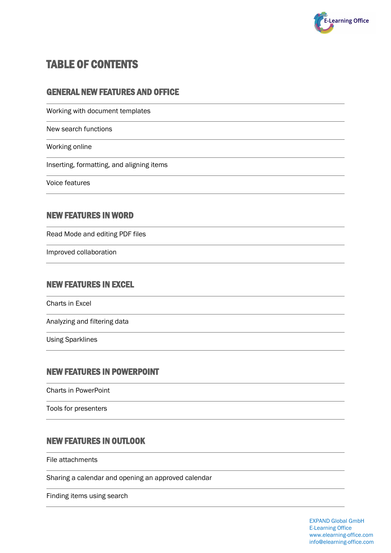

## TABLE OF CONTENTS

### GENERAL NEW FEATURES AND OFFICE

Working with document templates

New search functions

Working online

Inserting, formatting, and aligning items

Voice features

#### NEW FEATURES IN WORD

Read Mode and editing PDF files

Improved collaboration

#### NEW FEATURES IN EXCEL

Charts in Excel

Analyzing and filtering data

Using Sparklines

#### NEW FEATURES IN POWERPOINT

Charts in PowerPoint

Tools for presenters

### NEW FEATURES IN OUTLOOK

File attachments

Sharing a calendar and opening an approved calendar

Finding items using search

EXPAND Global GmbH E-Learning Office www.elearning-office.com info@elearning-office.com